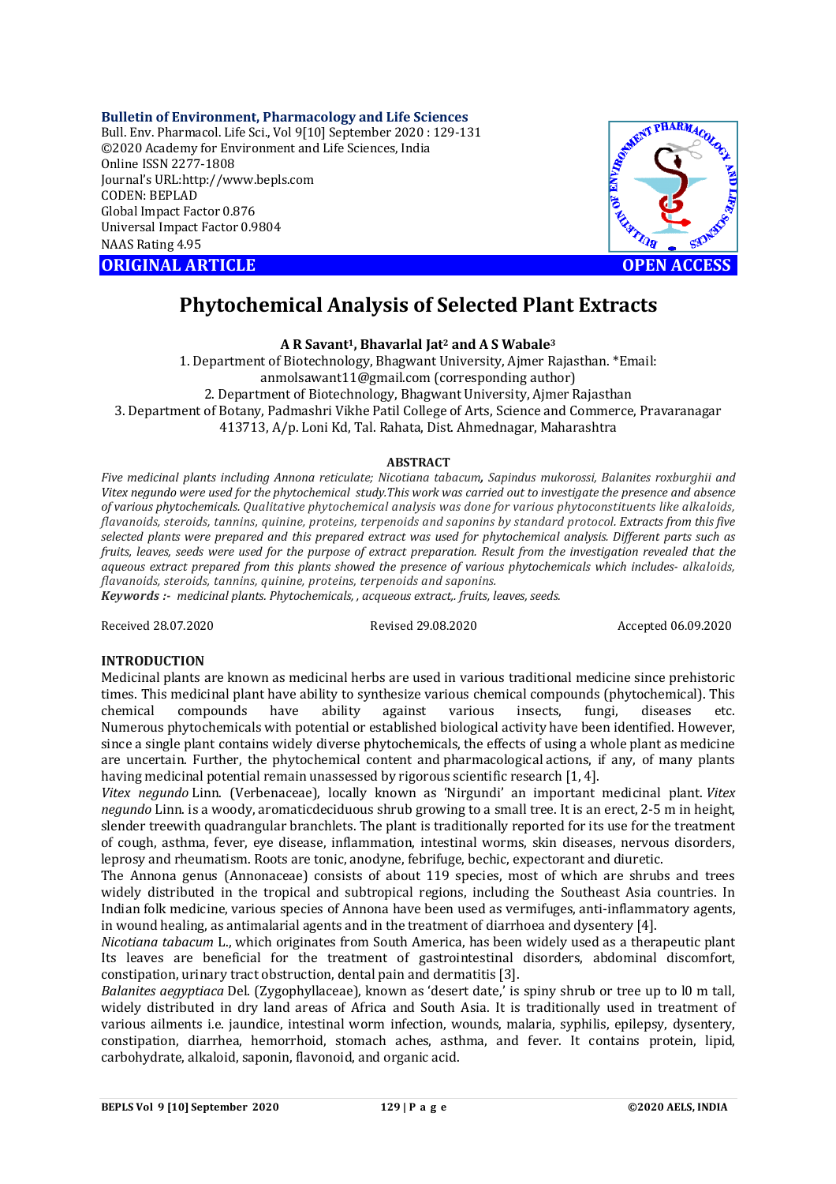#### **Bulletin of Environment, Pharmacology and Life Sciences**

Bull. Env. Pharmacol. Life Sci., Vol 9[10] September 2020 : 129-131 ©2020 Academy for Environment and Life Sciences, India Online ISSN 2277-1808 Journal's URL:<http://www.bepls.com> CODEN: BEPLAD Global Impact Factor 0.876 Universal Impact Factor 0.9804 NAAS Rating 4.95

**ORIGINAL ARTICLE** And the contract of the contract of the contract of the contract of the contract of the contract of the contract of the contract of the contract of the contract of the contract of the contract of the con



# **Phytochemical Analysis of Selected Plant Extracts**

## **A R Savant1, Bhavarlal Jat<sup>2</sup> and A S Wabale<sup>3</sup>**

1. Department of Biotechnology, Bhagwant University, Ajmer Rajasthan. \*Email: [anmolsawant11@gmail.com](mailto:anmolsawant11@gmail.com) (corresponding author) 2. Department of Biotechnology, Bhagwant University, Ajmer Rajasthan 3. Department of Botany, Padmashri Vikhe Patil College of Arts, Science and Commerce, Pravaranagar 413713, A/p. Loni Kd, Tal. Rahata, Dist. Ahmednagar, Maharashtra

#### **ABSTRACT**

*Five medicinal plants including Annona reticulate; Nicotiana tabacum, Sapindus mukorossi, Balanites roxburghii and Vitex negundo were used for the phytochemical study.This work was carried out to investigate the presence and absence of various phytochemicals. Qualitative phytochemical analysis was done for various phytoconstituents like alkaloids, flavanoids, steroids, tannins, quinine, proteins, terpenoids and saponins by standard protocol. Extracts from this five selected plants were prepared and this prepared extract was used for phytochemical analysis. Different parts such as fruits, leaves, seeds were used for the purpose of extract preparation. Result from the investigation revealed that the aqueous extract prepared from this plants showed the presence of various phytochemicals which includes- alkaloids, flavanoids, steroids, tannins, quinine, proteins, terpenoids and saponins.*

*Keywords :- medicinal plants. Phytochemicals, , acqueous extract,. fruits, leaves, seeds.*

Received 28.07.2020 Revised 29.08.2020 Accepted 06.09.2020

#### **INTRODUCTION**

Medicinal plants are known as medicinal herbs are used in various traditional medicine since prehistoric times. This medicinal plant have ability to synthesize various chemical compounds (phytochemical). This chemical compounds have ability against various insects, fungi, diseases etc. Numerous phytochemicals with potential or established biological activity have been identified. However, since a single plant contains widely diverse phytochemicals, the effects of using a whole plant as medicine are uncertain. Further, the phytochemical content and pharmacological actions, if any, of many plants having medicinal potential remain unassessed by rigorous scientific research [1, 4].

*Vitex negundo* Linn. (Verbenaceae), locally known as 'Nirgundi' an important medicinal plant. *Vitex negundo* Linn. is a woody, aromaticdeciduous shrub growing to a small tree. It is an erect, 2-5 m in height, slender treewith quadrangular branchlets. The plant is traditionally reported for its use for the treatment of cough, asthma, fever, eye disease, inflammation, intestinal worms, skin diseases, nervous disorders, leprosy and rheumatism. Roots are tonic, anodyne, febrifuge, bechic, expectorant and diuretic.

The Annona genus (Annonaceae) consists of about 119 species, most of which are shrubs and trees widely distributed in the tropical and subtropical regions, including the Southeast Asia countries. In Indian folk medicine, various species of Annona have been used as vermifuges, anti-inflammatory agents, in wound healing, as antimalarial agents and in the treatment of diarrhoea and dysentery [4].

*Nicotiana tabacum* L., which originates from South America, has been widely used as a therapeutic plant Its leaves are beneficial for the treatment of gastrointestinal disorders, abdominal discomfort, constipation, urinary tract obstruction, dental pain and dermatitis [3].

*Balanites aegyptiaca* Del. (Zygophyllaceae), known as 'desert date,' is spiny shrub or tree up to l0 m tall, widely distributed in dry land areas of Africa and South Asia. It is traditionally used in treatment of various ailments i.e. jaundice, intestinal worm infection, wounds, malaria, syphilis, epilepsy, dysentery, constipation, diarrhea, hemorrhoid, stomach aches, asthma, and fever. It contains protein, lipid, carbohydrate, alkaloid, saponin, flavonoid, and organic acid.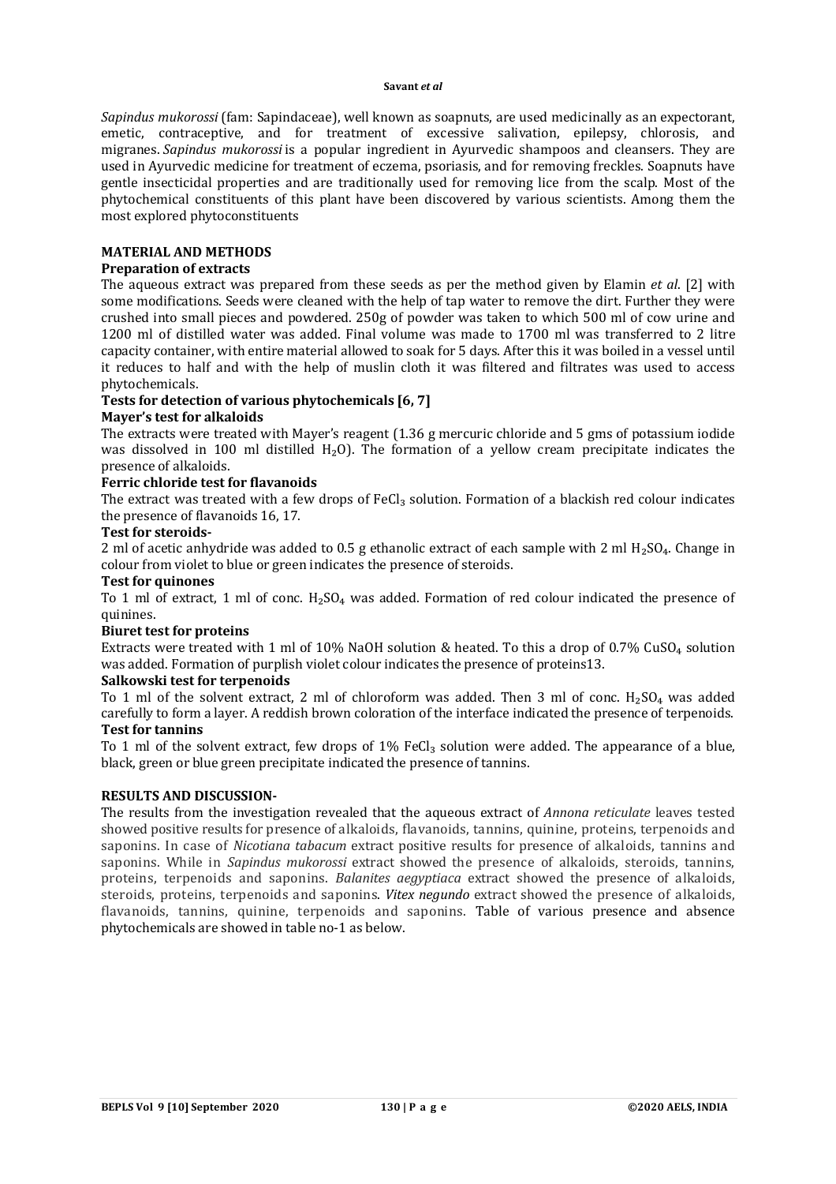#### **Savant** *et al*

*Sapindus mukorossi* (fam: Sapindaceae), well known as soapnuts, are used medicinally as an expectorant, emetic, contraceptive, and for treatment of excessive salivation, epilepsy, chlorosis, and migranes. *Sapindus mukorossi* is a popular ingredient in Ayurvedic shampoos and cleansers. They are used in Ayurvedic medicine for treatment of eczema, psoriasis, and for removing freckles. Soapnuts have gentle insecticidal properties and are traditionally used for removing lice from the scalp. Most of the phytochemical constituents of this plant have been discovered by various scientists. Among them the most explored phytoconstituents

#### **MATERIAL AND METHODS**

### **Preparation of extracts**

The aqueous extract was prepared from these seeds as per the method given by Elamin *et al*. [2] with some modifications. Seeds were cleaned with the help of tap water to remove the dirt. Further they were crushed into small pieces and powdered. 250g of powder was taken to which 500 ml of cow urine and 1200 ml of distilled water was added. Final volume was made to 1700 ml was transferred to 2 litre capacity container, with entire material allowed to soak for 5 days. After this it was boiled in a vessel until it reduces to half and with the help of muslin cloth it was filtered and filtrates was used to access phytochemicals.

## **Tests for detection of various phytochemicals [6, 7]**

#### **Mayer's test for alkaloids**

The extracts were treated with Mayer's reagent (1.36 g mercuric chloride and 5 gms of potassium iodide was dissolved in 100 ml distilled H<sub>2</sub>O). The formation of a yellow cream precipitate indicates the presence of alkaloids.

#### **Ferric chloride test for flavanoids**

The extract was treated with a few drops of FeCl<sub>3</sub> solution. Formation of a blackish red colour indicates the presence of flavanoids 16, 17.

#### **Test for steroids-**

2 ml of acetic anhydride was added to 0.5 g ethanolic extract of each sample with 2 ml  $H_2SO_4$ . Change in colour from violet to blue or green indicates the presence of steroids.

## **Test for quinones**

To 1 ml of extract, 1 ml of conc.  $H_2SO_4$  was added. Formation of red colour indicated the presence of quinines.

#### **Biuret test for proteins**

Extracts were treated with 1 ml of 10% NaOH solution & heated. To this a drop of  $0.7\%$  CuSO<sub>4</sub> solution was added. Formation of purplish violet colour indicates the presence of proteins13.

## **Salkowski test for terpenoids**

To 1 ml of the solvent extract, 2 ml of chloroform was added. Then 3 ml of conc.  $H_2SO_4$  was added carefully to form a layer. A reddish brown coloration of the interface indicated the presence of terpenoids. **Test for tannins**

### To 1 ml of the solvent extract, few drops of 1% FeCl<sub>3</sub> solution were added. The appearance of a blue, black, green or blue green precipitate indicated the presence of tannins.

#### **RESULTS AND DISCUSSION-**

The results from the investigation revealed that the aqueous extract of *Annona reticulate* leaves tested showed positive results for presence of alkaloids, flavanoids, tannins, quinine, proteins, terpenoids and saponins. In case of *Nicotiana tabacum* extract positive results for presence of alkaloids, tannins and saponins. While in *Sapindus mukorossi* extract showed the presence of alkaloids, steroids, tannins, proteins, terpenoids and saponins. *Balanites aegyptiaca* extract showed the presence of alkaloids, steroids, proteins, terpenoids and saponins. *Vitex negundo* extract showed the presence of alkaloids, flavanoids, tannins, quinine, terpenoids and saponins. Table of various presence and absence phytochemicals are showed in table no-1 as below.